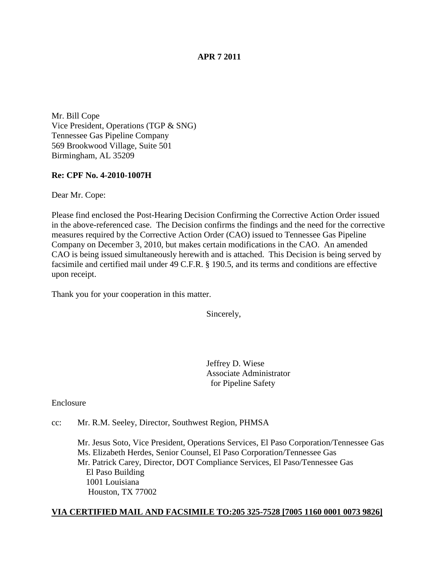## **APR 7 2011**

Mr. Bill Cope Vice President, Operations (TGP & SNG) Tennessee Gas Pipeline Company 569 Brookwood Village, Suite 501 Birmingham, AL 35209

## **Re: CPF No. 4-2010-1007H**

Dear Mr. Cope:

Please find enclosed the Post-Hearing Decision Confirming the Corrective Action Order issued in the above-referenced case. The Decision confirms the findings and the need for the corrective measures required by the Corrective Action Order (CAO) issued to Tennessee Gas Pipeline Company on December 3, 2010, but makes certain modifications in the CAO. An amended CAO is being issued simultaneously herewith and is attached. This Decision is being served by facsimile and certified mail under 49 C.F.R. § 190.5, and its terms and conditions are effective upon receipt.

Thank you for your cooperation in this matter.

Sincerely,

 Jeffrey D. Wiese Associate Administrator for Pipeline Safety

Enclosure

cc: Mr. R.M. Seeley, Director, Southwest Region, PHMSA

Mr. Jesus Soto, Vice President, Operations Services, El Paso Corporation/Tennessee Gas Ms. Elizabeth Herdes, Senior Counsel, El Paso Corporation/Tennessee Gas Mr. Patrick Carey, Director, DOT Compliance Services, El Paso/Tennessee Gas El Paso Building 1001 Louisiana Houston, TX 77002

## **VIA CERTIFIED MAIL AND FACSIMILE TO:205 325-7528 [7005 1160 0001 0073 9826]**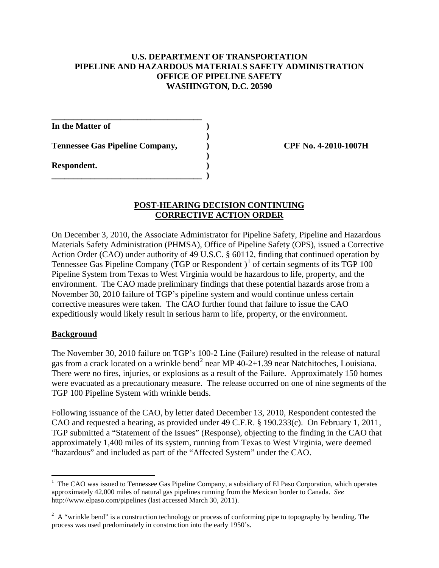## **U.S. DEPARTMENT OF TRANSPORTATION PIPELINE AND HAZARDOUS MATERIALS SAFETY ADMINISTRATION OFFICE OF PIPELINE SAFETY WASHINGTON, D.C. 20590**

 **)**

**)**

**In the Matter of )**

**Tennessee Gas Pipeline Company, ) CPF No. 4-2010-1007H**

**\_\_\_\_\_\_\_\_\_\_\_\_\_\_\_\_\_\_\_\_\_\_\_\_\_\_\_\_\_\_\_\_\_\_\_**

**\_\_\_\_\_\_\_\_\_\_\_\_\_\_\_\_\_\_\_\_\_\_\_\_\_\_\_\_\_\_\_\_\_\_\_ )**

**Respondent. )**

## **POST-HEARING DECISION CONTINUING CORRECTIVE ACTION ORDER**

On December 3, 2010, the Associate Administrator for Pipeline Safety, Pipeline and Hazardous Materials Safety Administration (PHMSA), Office of Pipeline Safety (OPS), issued a Corrective Action Order (CAO) under authority of 49 U.S.C. § 60112, finding that continued operation by Tennessee Gas Pipeline Company (TGP or Respondent)<sup>[1](#page-1-0)</sup> of certain segments of its TGP 100 Pipeline System from Texas to West Virginia would be hazardous to life, property, and the environment. The CAO made preliminary findings that these potential hazards arose from a November 30, 2010 failure of TGP's pipeline system and would continue unless certain corrective measures were taken. The CAO further found that failure to issue the CAO expeditiously would likely result in serious harm to life, property, or the environment.

## **Background**

The November 30, 2010 failure on TGP's 100-2 Line (Failure) resulted in the release of natural gas from a crack located on a wrinkle bend<sup>[2](#page-1-1)</sup> near MP  $40-2+1.39$  near Natchitoches, Louisiana. There were no fires, injuries, or explosions as a result of the Failure. Approximately 150 homes were evacuated as a precautionary measure. The release occurred on one of nine segments of the TGP 100 Pipeline System with wrinkle bends.

Following issuance of the CAO, by letter dated December 13, 2010, Respondent contested the CAO and requested a hearing, as provided under 49 C.F.R. § 190.233(c). On February 1, 2011, TGP submitted a "Statement of the Issues" (Response), objecting to the finding in the CAO that approximately 1,400 miles of its system, running from Texas to West Virginia, were deemed "hazardous" and included as part of the "Affected System" under the CAO.

<span id="page-1-0"></span> $\frac{1}{1}$  $<sup>1</sup>$  The CAO was issued to Tennessee Gas Pipeline Company, a subsidiary of El Paso Corporation, which operates</sup> approximately 42,000 miles of natural gas pipelines running from the Mexican border to Canada. *See*  http://www.elpaso.com/pipelines (last accessed March 30, 2011).

<span id="page-1-1"></span> $2^2$  A "wrinkle bend" is a construction technology or process of conforming pipe to topography by bending. The process was used predominately in construction into the early 1950's.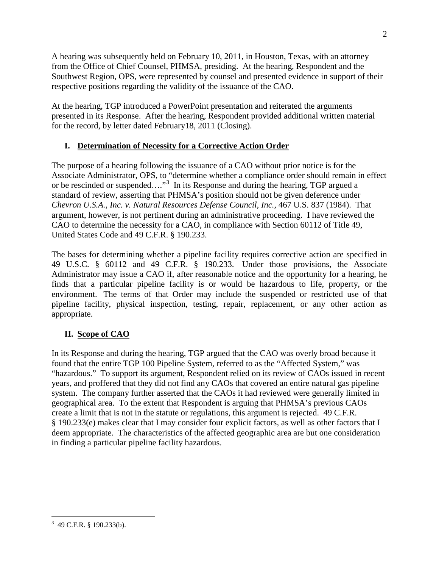A hearing was subsequently held on February 10, 2011, in Houston, Texas, with an attorney from the Office of Chief Counsel, PHMSA, presiding. At the hearing, Respondent and the Southwest Region, OPS, were represented by counsel and presented evidence in support of their respective positions regarding the validity of the issuance of the CAO.

At the hearing, TGP introduced a PowerPoint presentation and reiterated the arguments presented in its Response. After the hearing, Respondent provided additional written material for the record, by letter dated February18, 2011 (Closing).

# **I. Determination of Necessity for a Corrective Action Order**

The purpose of a hearing following the issuance of a CAO without prior notice is for the Associate Administrator, OPS, to "determine whether a compliance order should remain in effect or be rescinded or suspended...."<sup>[3](#page-2-0)</sup> In its Response and during the hearing, TGP argued a standard of review, asserting that PHMSA's position should not be given deference under *Chevron U.S.A., Inc. v. Natural Resources Defense Council, Inc.,* 467 U.S. 837 (1984). That argument, however, is not pertinent during an administrative proceeding. I have reviewed the CAO to determine the necessity for a CAO, in compliance with Section 60112 of Title 49, United States Code and 49 C.F.R. § 190.233.

The bases for determining whether a pipeline facility requires corrective action are specified in 49 U.S.C. § 60112 and 49 C.F.R. § 190.233. Under those provisions, the Associate Administrator may issue a CAO if, after reasonable notice and the opportunity for a hearing, he finds that a particular pipeline facility is or would be hazardous to life, property, or the environment. The terms of that Order may include the suspended or restricted use of that pipeline facility, physical inspection, testing, repair, replacement, or any other action as appropriate.

# **II. Scope of CAO**

In its Response and during the hearing, TGP argued that the CAO was overly broad because it found that the entire TGP 100 Pipeline System, referred to as the "Affected System," was "hazardous." To support its argument, Respondent relied on its review of CAOs issued in recent years, and proffered that they did not find any CAOs that covered an entire natural gas pipeline system. The company further asserted that the CAOs it had reviewed were generally limited in geographical area. To the extent that Respondent is arguing that PHMSA's previous CAOs create a limit that is not in the statute or regulations, this argument is rejected. 49 C.F.R. § 190.233(e) makes clear that I may consider four explicit factors, as well as other factors that I deem appropriate. The characteristics of the affected geographic area are but one consideration in finding a particular pipeline facility hazardous.

<span id="page-2-0"></span><sup>&</sup>lt;sup>2</sup><br>3  $3\,$  49 C.F.R. § 190.233(b).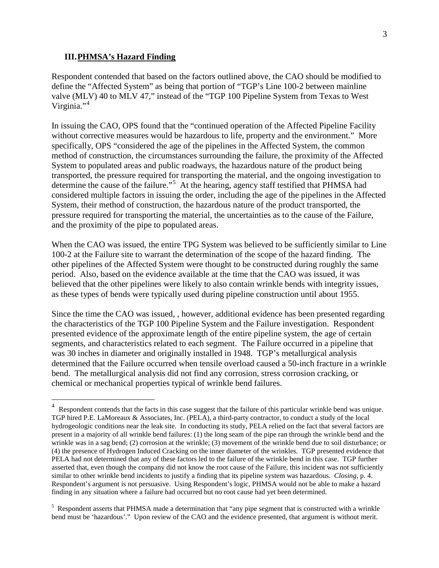#### **III.PHMSA's Hazard Finding**

Respondent contended that based on the factors outlined above, the CAO should be modified to define the "Affected System" as being that portion of "TGP's Line 100-2 between mainline valve (MLV) 40 to MLV 47," instead of the "TGP 100 Pipeline System from Texas to West Virginia."<sup>[4](#page-3-0)</sup>

In issuing the CAO, OPS found that the "continued operation of the Affected Pipeline Facility without corrective measures would be hazardous to life, property and the environment." More specifically, OPS "considered the age of the pipelines in the Affected System, the common method of construction, the circumstances surrounding the failure, the proximity of the Affected System to populated areas and public roadways, the hazardous nature of the product being transported, the pressure required for transporting the material, and the ongoing investigation to determine the cause of the failure."<sup>[5](#page-3-1)</sup> At the hearing, agency staff testified that PHMSA had considered multiple factors in issuing the order, including the age of the pipelines in the Affected System, their method of construction, the hazardous nature of the product transported, the pressure required for transporting the material, the uncertainties as to the cause of the Failure, and the proximity of the pipe to populated areas.

When the CAO was issued, the entire TPG System was believed to be sufficiently similar to Line 100-2 at the Failure site to warrant the determination of the scope of the hazard finding. The other pipelines of the Affected System were thought to be constructed during roughly the same period. Also, based on the evidence available at the time that the CAO was issued, it was believed that the other pipelines were likely to also contain wrinkle bends with integrity issues, as these types of bends were typically used during pipeline construction until about 1955.

Since the time the CAO was issued, , however, additional evidence has been presented regarding the characteristics of the TGP 100 Pipeline System and the Failure investigation. Respondent presented evidence of the approximate length of the entire pipeline system, the age of certain segments, and characteristics related to each segment. The Failure occurred in a pipeline that was 30 inches in diameter and originally installed in 1948. TGP's metallurgical analysis determined that the Failure occurred when tensile overload caused a 50-inch fracture in a wrinkle bend. The metallurgical analysis did not find any corrosion, stress corrosion cracking, or chemical or mechanical properties typical of wrinkle bend failures.

<span id="page-3-0"></span> <sup>4</sup> Respondent contends that the facts in this case suggest that the failure of this particular wrinkle bend was unique. TGP hired P.E. LaMoreaux & Associates, Inc. (PELA), a third-party contractor, to conduct a study of the local hydrogeologic conditions near the leak site. In conducting its study, PELA relied on the fact that several factors are present in a majority of all wrinkle bend failures: (1) the long seam of the pipe ran through the wrinkle bend and the wrinkle was in a sag bend; (2) corrosion at the wrinkle; (3) movement of the wrinkle bend due to soil disturbance; or (4) the presence of Hydrogen Induced Cracking on the inner diameter of the wrinkles. TGP presented evidence that PELA had not determined that any of these factors led to the failure of the wrinkle bend in this case. TGP further asserted that, even though the company did not know the root cause of the Failure, this incident was not sufficiently similar to other wrinkle bend incidents to justify a finding that its pipeline system was hazardous. *Closing,* p. 4. Respondent's argument is not persuasive. Using Respondent's logic, PHMSA would not be able to make a hazard finding in any situation where a failure had occurred but no root cause had yet been determined.

<span id="page-3-1"></span><sup>&</sup>lt;sup>5</sup> Respondent asserts that PHMSA made a determination that "any pipe segment that is constructed with a wrinkle bend must be 'hazardous'." Upon review of the CAO and the evidence presented, that argument is without merit.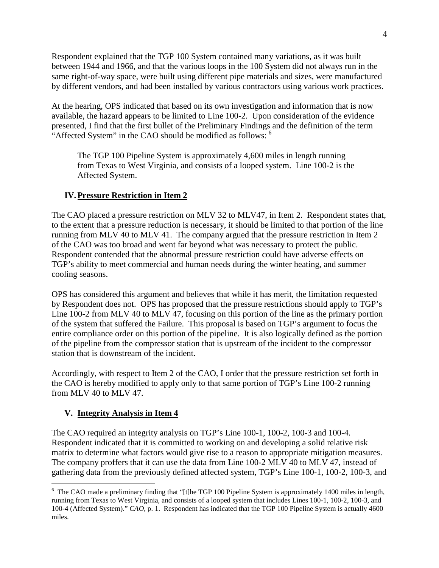Respondent explained that the TGP 100 System contained many variations, as it was built between 1944 and 1966, and that the various loops in the 100 System did not always run in the same right-of-way space, were built using different pipe materials and sizes, were manufactured by different vendors, and had been installed by various contractors using various work practices.

At the hearing, OPS indicated that based on its own investigation and information that is now available, the hazard appears to be limited to Line 100-2. Upon consideration of the evidence presented, I find that the first bullet of the Preliminary Findings and the definition of the term "Affected System" in the CAO should be modified as follows: <sup>[6](#page-4-0)</sup>

The TGP 100 Pipeline System is approximately 4,600 miles in length running from Texas to West Virginia, and consists of a looped system. Line 100-2 is the Affected System.

# **IV.Pressure Restriction in Item 2**

The CAO placed a pressure restriction on MLV 32 to MLV47, in Item 2. Respondent states that, to the extent that a pressure reduction is necessary, it should be limited to that portion of the line running from MLV 40 to MLV 41. The company argued that the pressure restriction in Item 2 of the CAO was too broad and went far beyond what was necessary to protect the public. Respondent contended that the abnormal pressure restriction could have adverse effects on TGP's ability to meet commercial and human needs during the winter heating, and summer cooling seasons.

OPS has considered this argument and believes that while it has merit, the limitation requested by Respondent does not. OPS has proposed that the pressure restrictions should apply to TGP's Line 100-2 from MLV 40 to MLV 47, focusing on this portion of the line as the primary portion of the system that suffered the Failure. This proposal is based on TGP's argument to focus the entire compliance order on this portion of the pipeline. It is also logically defined as the portion of the pipeline from the compressor station that is upstream of the incident to the compressor station that is downstream of the incident.

Accordingly, with respect to Item 2 of the CAO, I order that the pressure restriction set forth in the CAO is hereby modified to apply only to that same portion of TGP's Line 100-2 running from MLV 40 to MLV 47.

# **V. Integrity Analysis in Item 4**

The CAO required an integrity analysis on TGP's Line 100-1, 100-2, 100-3 and 100-4. Respondent indicated that it is committed to working on and developing a solid relative risk matrix to determine what factors would give rise to a reason to appropriate mitigation measures. The company proffers that it can use the data from Line 100-2 MLV 40 to MLV 47, instead of gathering data from the previously defined affected system, TGP's Line 100-1, 100-2, 100-3, and

<span id="page-4-0"></span> $\frac{1}{6}$  $6\text{ The CAO made a preliminary finding that "[the TGP 100 Pipeline System is approximately 1400 miles in length,}$ running from Texas to West Virginia, and consists of a looped system that includes Lines 100-1, 100-2, 100-3, and 100-4 (Affected System)." *CAO*, p. 1. Respondent has indicated that the TGP 100 Pipeline System is actually 4600 miles.